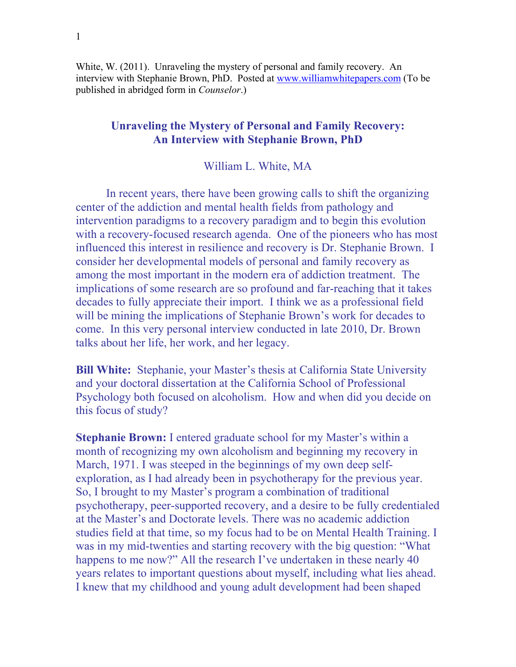White, W. (2011). Unraveling the mystery of personal and family recovery. An interview with Stephanie Brown, PhD. Posted at [www.williamwhitepapers.com](http://www.williamwhitepapers.com/) (To be published in abridged form in *Counselor*.)

## **Unraveling the Mystery of Personal and Family Recovery: An Interview with Stephanie Brown, PhD**

## William L. White, MA

In recent years, there have been growing calls to shift the organizing center of the addiction and mental health fields from pathology and intervention paradigms to a recovery paradigm and to begin this evolution with a recovery-focused research agenda. One of the pioneers who has most influenced this interest in resilience and recovery is Dr. Stephanie Brown. I consider her developmental models of personal and family recovery as among the most important in the modern era of addiction treatment. The implications of some research are so profound and far-reaching that it takes decades to fully appreciate their import. I think we as a professional field will be mining the implications of Stephanie Brown's work for decades to come. In this very personal interview conducted in late 2010, Dr. Brown talks about her life, her work, and her legacy.

**Bill White:** Stephanie, your Master's thesis at California State University and your doctoral dissertation at the California School of Professional Psychology both focused on alcoholism. How and when did you decide on this focus of study?

**Stephanie Brown:** I entered graduate school for my Master's within a month of recognizing my own alcoholism and beginning my recovery in March, 1971. I was steeped in the beginnings of my own deep selfexploration, as I had already been in psychotherapy for the previous year. So, I brought to my Master's program a combination of traditional psychotherapy, peer-supported recovery, and a desire to be fully credentialed at the Master's and Doctorate levels. There was no academic addiction studies field at that time, so my focus had to be on Mental Health Training. I was in my mid-twenties and starting recovery with the big question: "What happens to me now?" All the research I've undertaken in these nearly 40 years relates to important questions about myself, including what lies ahead. I knew that my childhood and young adult development had been shaped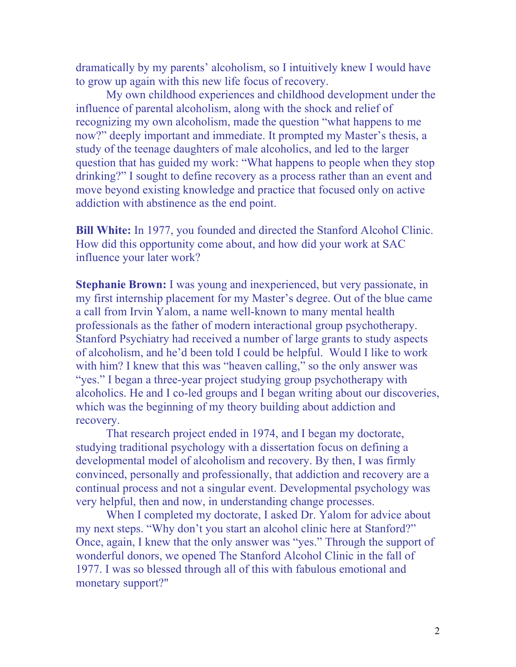dramatically by my parents' alcoholism, so I intuitively knew I would have to grow up again with this new life focus of recovery.

 My own childhood experiences and childhood development under the influence of parental alcoholism, along with the shock and relief of recognizing my own alcoholism, made the question "what happens to me now?" deeply important and immediate. It prompted my Master's thesis, a study of the teenage daughters of male alcoholics, and led to the larger question that has guided my work: "What happens to people when they stop drinking?" I sought to define recovery as a process rather than an event and move beyond existing knowledge and practice that focused only on active addiction with abstinence as the end point.

**Bill White:** In 1977, you founded and directed the Stanford Alcohol Clinic. How did this opportunity come about, and how did your work at SAC influence your later work?

**Stephanie Brown:** I was young and inexperienced, but very passionate, in my first internship placement for my Master's degree. Out of the blue came a call from Irvin Yalom, a name well-known to many mental health professionals as the father of modern interactional group psychotherapy. Stanford Psychiatry had received a number of large grants to study aspects of alcoholism, and he'd been told I could be helpful. Would I like to work with him? I knew that this was "heaven calling," so the only answer was "yes." I began a three-year project studying group psychotherapy with alcoholics. He and I co-led groups and I began writing about our discoveries, which was the beginning of my theory building about addiction and recovery.

 That research project ended in 1974, and I began my doctorate, studying traditional psychology with a dissertation focus on defining a developmental model of alcoholism and recovery. By then, I was firmly convinced, personally and professionally, that addiction and recovery are a continual process and not a singular event. Developmental psychology was very helpful, then and now, in understanding change processes.

 When I completed my doctorate, I asked Dr. Yalom for advice about my next steps. "Why don't you start an alcohol clinic here at Stanford?" Once, again, I knew that the only answer was "yes." Through the support of wonderful donors, we opened The Stanford Alcohol Clinic in the fall of 1977. I was so blessed through all of this with fabulous emotional and monetary support?"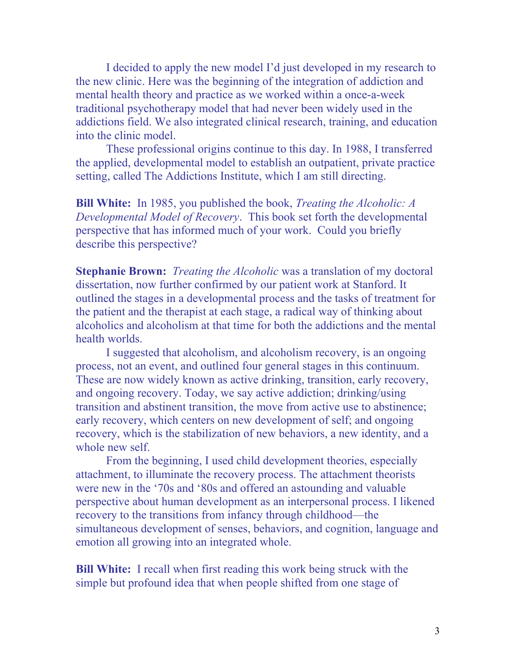I decided to apply the new model I'd just developed in my research to the new clinic. Here was the beginning of the integration of addiction and mental health theory and practice as we worked within a once-a-week traditional psychotherapy model that had never been widely used in the addictions field. We also integrated clinical research, training, and education into the clinic model.

 These professional origins continue to this day. In 1988, I transferred the applied, developmental model to establish an outpatient, private practice setting, called The Addictions Institute, which I am still directing.

**Bill White:** In 1985, you published the book, *Treating the Alcoholic: A Developmental Model of Recovery*. This book set forth the developmental perspective that has informed much of your work. Could you briefly describe this perspective?

**Stephanie Brown:** *Treating the Alcoholic* was a translation of my doctoral dissertation, now further confirmed by our patient work at Stanford. It outlined the stages in a developmental process and the tasks of treatment for the patient and the therapist at each stage, a radical way of thinking about alcoholics and alcoholism at that time for both the addictions and the mental health worlds.

 I suggested that alcoholism, and alcoholism recovery, is an ongoing process, not an event, and outlined four general stages in this continuum. These are now widely known as active drinking, transition, early recovery, and ongoing recovery. Today, we say active addiction; drinking/using transition and abstinent transition, the move from active use to abstinence; early recovery, which centers on new development of self; and ongoing recovery, which is the stabilization of new behaviors, a new identity, and a whole new self.

 From the beginning, I used child development theories, especially attachment, to illuminate the recovery process. The attachment theorists were new in the '70s and '80s and offered an astounding and valuable perspective about human development as an interpersonal process. I likened recovery to the transitions from infancy through childhood—the simultaneous development of senses, behaviors, and cognition, language and emotion all growing into an integrated whole.

**Bill White:** I recall when first reading this work being struck with the simple but profound idea that when people shifted from one stage of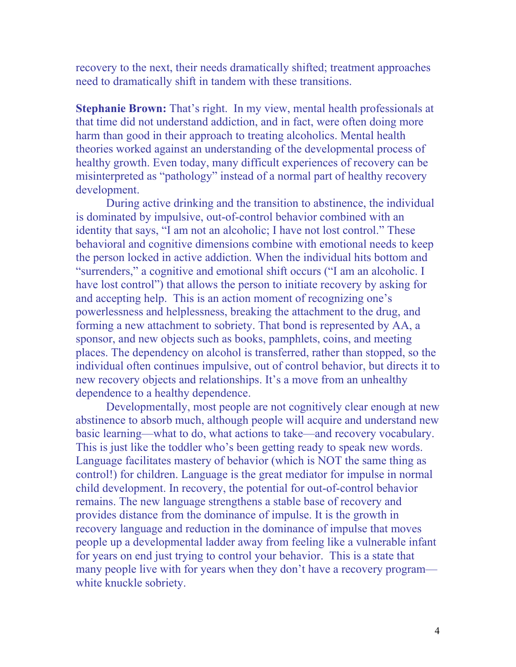recovery to the next, their needs dramatically shifted; treatment approaches need to dramatically shift in tandem with these transitions.

**Stephanie Brown:** That's right. In my view, mental health professionals at that time did not understand addiction, and in fact, were often doing more harm than good in their approach to treating alcoholics. Mental health theories worked against an understanding of the developmental process of healthy growth. Even today, many difficult experiences of recovery can be misinterpreted as "pathology" instead of a normal part of healthy recovery development.

 During active drinking and the transition to abstinence, the individual is dominated by impulsive, out-of-control behavior combined with an identity that says, "I am not an alcoholic; I have not lost control." These behavioral and cognitive dimensions combine with emotional needs to keep the person locked in active addiction. When the individual hits bottom and "surrenders," a cognitive and emotional shift occurs ("I am an alcoholic. I have lost control") that allows the person to initiate recovery by asking for and accepting help. This is an action moment of recognizing one's powerlessness and helplessness, breaking the attachment to the drug, and forming a new attachment to sobriety. That bond is represented by AA, a sponsor, and new objects such as books, pamphlets, coins, and meeting places. The dependency on alcohol is transferred, rather than stopped, so the individual often continues impulsive, out of control behavior, but directs it to new recovery objects and relationships. It's a move from an unhealthy dependence to a healthy dependence.

 Developmentally, most people are not cognitively clear enough at new abstinence to absorb much, although people will acquire and understand new basic learning—what to do, what actions to take—and recovery vocabulary. This is just like the toddler who's been getting ready to speak new words. Language facilitates mastery of behavior (which is NOT the same thing as control!) for children. Language is the great mediator for impulse in normal child development. In recovery, the potential for out-of-control behavior remains. The new language strengthens a stable base of recovery and provides distance from the dominance of impulse. It is the growth in recovery language and reduction in the dominance of impulse that moves people up a developmental ladder away from feeling like a vulnerable infant for years on end just trying to control your behavior. This is a state that many people live with for years when they don't have a recovery program white knuckle sobriety.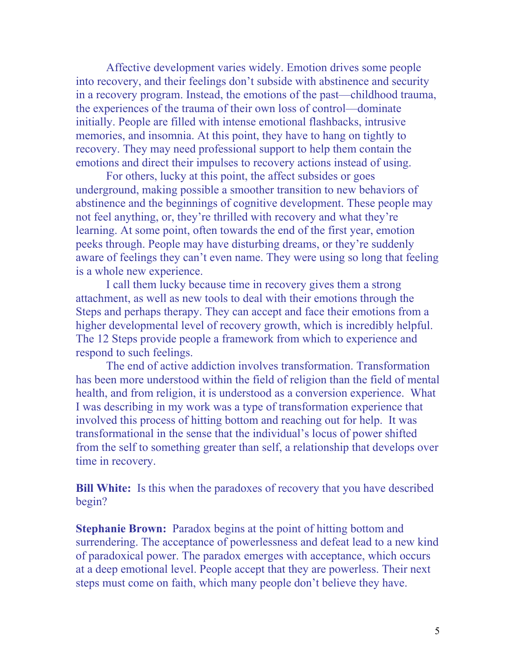Affective development varies widely. Emotion drives some people into recovery, and their feelings don't subside with abstinence and security in a recovery program. Instead, the emotions of the past—childhood trauma, the experiences of the trauma of their own loss of control—dominate initially. People are filled with intense emotional flashbacks, intrusive memories, and insomnia. At this point, they have to hang on tightly to recovery. They may need professional support to help them contain the emotions and direct their impulses to recovery actions instead of using.

 For others, lucky at this point, the affect subsides or goes underground, making possible a smoother transition to new behaviors of abstinence and the beginnings of cognitive development. These people may not feel anything, or, they're thrilled with recovery and what they're learning. At some point, often towards the end of the first year, emotion peeks through. People may have disturbing dreams, or they're suddenly aware of feelings they can't even name. They were using so long that feeling is a whole new experience.

 I call them lucky because time in recovery gives them a strong attachment, as well as new tools to deal with their emotions through the Steps and perhaps therapy. They can accept and face their emotions from a higher developmental level of recovery growth, which is incredibly helpful. The 12 Steps provide people a framework from which to experience and respond to such feelings.

 The end of active addiction involves transformation. Transformation has been more understood within the field of religion than the field of mental health, and from religion, it is understood as a conversion experience. What I was describing in my work was a type of transformation experience that involved this process of hitting bottom and reaching out for help. It was transformational in the sense that the individual's locus of power shifted from the self to something greater than self, a relationship that develops over time in recovery.

**Bill White:** Is this when the paradoxes of recovery that you have described begin?

**Stephanie Brown:** Paradox begins at the point of hitting bottom and surrendering. The acceptance of powerlessness and defeat lead to a new kind of paradoxical power. The paradox emerges with acceptance, which occurs at a deep emotional level. People accept that they are powerless. Their next steps must come on faith, which many people don't believe they have.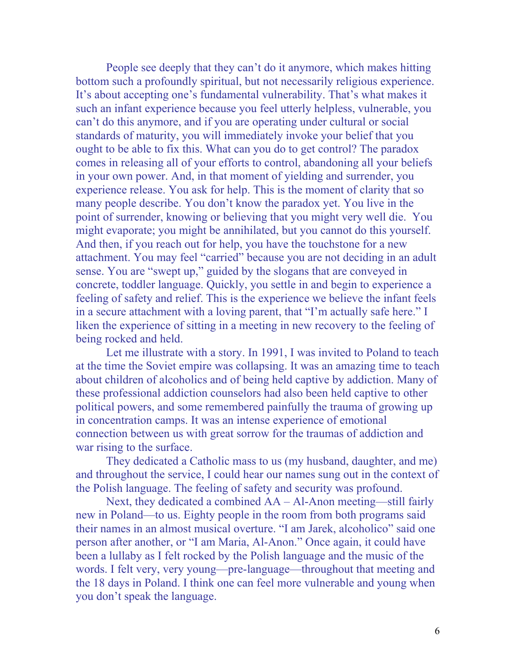People see deeply that they can't do it anymore, which makes hitting bottom such a profoundly spiritual, but not necessarily religious experience. It's about accepting one's fundamental vulnerability. That's what makes it such an infant experience because you feel utterly helpless, vulnerable, you can't do this anymore, and if you are operating under cultural or social standards of maturity, you will immediately invoke your belief that you ought to be able to fix this. What can you do to get control? The paradox comes in releasing all of your efforts to control, abandoning all your beliefs in your own power. And, in that moment of yielding and surrender, you experience release. You ask for help. This is the moment of clarity that so many people describe. You don't know the paradox yet. You live in the point of surrender, knowing or believing that you might very well die. You might evaporate; you might be annihilated, but you cannot do this yourself. And then, if you reach out for help, you have the touchstone for a new attachment. You may feel "carried" because you are not deciding in an adult sense. You are "swept up," guided by the slogans that are conveyed in concrete, toddler language. Quickly, you settle in and begin to experience a feeling of safety and relief. This is the experience we believe the infant feels in a secure attachment with a loving parent, that "I'm actually safe here." I liken the experience of sitting in a meeting in new recovery to the feeling of being rocked and held.

 Let me illustrate with a story. In 1991, I was invited to Poland to teach at the time the Soviet empire was collapsing. It was an amazing time to teach about children of alcoholics and of being held captive by addiction. Many of these professional addiction counselors had also been held captive to other political powers, and some remembered painfully the trauma of growing up in concentration camps. It was an intense experience of emotional connection between us with great sorrow for the traumas of addiction and war rising to the surface.

 They dedicated a Catholic mass to us (my husband, daughter, and me) and throughout the service, I could hear our names sung out in the context of the Polish language. The feeling of safety and security was profound.

 Next, they dedicated a combined AA – Al-Anon meeting—still fairly new in Poland—to us. Eighty people in the room from both programs said their names in an almost musical overture. "I am Jarek, alcoholico" said one person after another, or "I am Maria, Al-Anon." Once again, it could have been a lullaby as I felt rocked by the Polish language and the music of the words. I felt very, very young—pre-language—throughout that meeting and the 18 days in Poland. I think one can feel more vulnerable and young when you don't speak the language.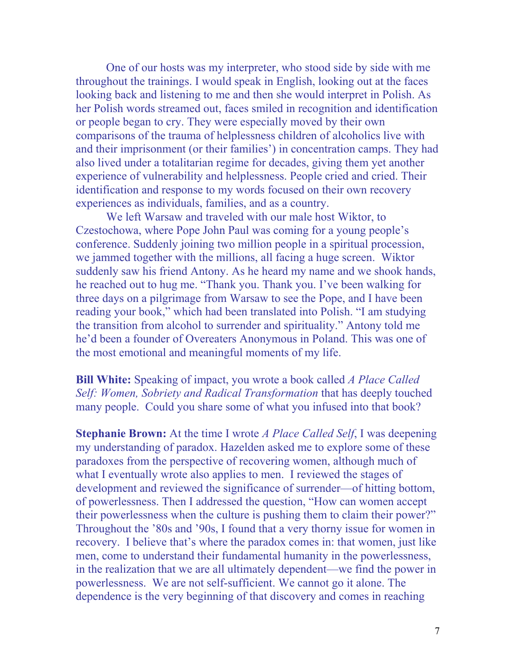One of our hosts was my interpreter, who stood side by side with me throughout the trainings. I would speak in English, looking out at the faces looking back and listening to me and then she would interpret in Polish. As her Polish words streamed out, faces smiled in recognition and identification or people began to cry. They were especially moved by their own comparisons of the trauma of helplessness children of alcoholics live with and their imprisonment (or their families') in concentration camps. They had also lived under a totalitarian regime for decades, giving them yet another experience of vulnerability and helplessness. People cried and cried. Their identification and response to my words focused on their own recovery experiences as individuals, families, and as a country.

 We left Warsaw and traveled with our male host Wiktor, to Czestochowa, where Pope John Paul was coming for a young people's conference. Suddenly joining two million people in a spiritual procession, we jammed together with the millions, all facing a huge screen. Wiktor suddenly saw his friend Antony. As he heard my name and we shook hands, he reached out to hug me. "Thank you. Thank you. I've been walking for three days on a pilgrimage from Warsaw to see the Pope, and I have been reading your book," which had been translated into Polish. "I am studying the transition from alcohol to surrender and spirituality." Antony told me he'd been a founder of Overeaters Anonymous in Poland. This was one of the most emotional and meaningful moments of my life.

**Bill White:** Speaking of impact, you wrote a book called *A Place Called Self: Women, Sobriety and Radical Transformation that has deeply touched* many people. Could you share some of what you infused into that book?

**Stephanie Brown:** At the time I wrote *A Place Called Self*, I was deepening my understanding of paradox. Hazelden asked me to explore some of these paradoxes from the perspective of recovering women, although much of what I eventually wrote also applies to men. I reviewed the stages of development and reviewed the significance of surrender—of hitting bottom, of powerlessness. Then I addressed the question, "How can women accept their powerlessness when the culture is pushing them to claim their power?" Throughout the '80s and '90s, I found that a very thorny issue for women in recovery. I believe that's where the paradox comes in: that women, just like men, come to understand their fundamental humanity in the powerlessness, in the realization that we are all ultimately dependent—we find the power in powerlessness. We are not self-sufficient. We cannot go it alone. The dependence is the very beginning of that discovery and comes in reaching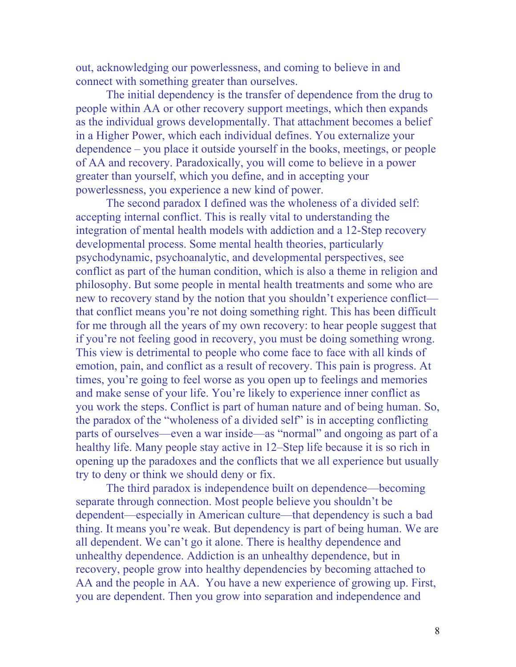out, acknowledging our powerlessness, and coming to believe in and connect with something greater than ourselves.

 The initial dependency is the transfer of dependence from the drug to people within AA or other recovery support meetings, which then expands as the individual grows developmentally. That attachment becomes a belief in a Higher Power, which each individual defines. You externalize your dependence – you place it outside yourself in the books, meetings, or people of AA and recovery. Paradoxically, you will come to believe in a power greater than yourself, which you define, and in accepting your powerlessness, you experience a new kind of power.

 The second paradox I defined was the wholeness of a divided self: accepting internal conflict. This is really vital to understanding the integration of mental health models with addiction and a 12-Step recovery developmental process. Some mental health theories, particularly psychodynamic, psychoanalytic, and developmental perspectives, see conflict as part of the human condition, which is also a theme in religion and philosophy. But some people in mental health treatments and some who are new to recovery stand by the notion that you shouldn't experience conflict that conflict means you're not doing something right. This has been difficult for me through all the years of my own recovery: to hear people suggest that if you're not feeling good in recovery, you must be doing something wrong. This view is detrimental to people who come face to face with all kinds of emotion, pain, and conflict as a result of recovery. This pain is progress. At times, you're going to feel worse as you open up to feelings and memories and make sense of your life. You're likely to experience inner conflict as you work the steps. Conflict is part of human nature and of being human. So, the paradox of the "wholeness of a divided self" is in accepting conflicting parts of ourselves—even a war inside—as "normal" and ongoing as part of a healthy life. Many people stay active in 12–Step life because it is so rich in opening up the paradoxes and the conflicts that we all experience but usually try to deny or think we should deny or fix.

 The third paradox is independence built on dependence—becoming separate through connection. Most people believe you shouldn't be dependent—especially in American culture—that dependency is such a bad thing. It means you're weak. But dependency is part of being human. We are all dependent. We can't go it alone. There is healthy dependence and unhealthy dependence. Addiction is an unhealthy dependence, but in recovery, people grow into healthy dependencies by becoming attached to AA and the people in AA. You have a new experience of growing up. First, you are dependent. Then you grow into separation and independence and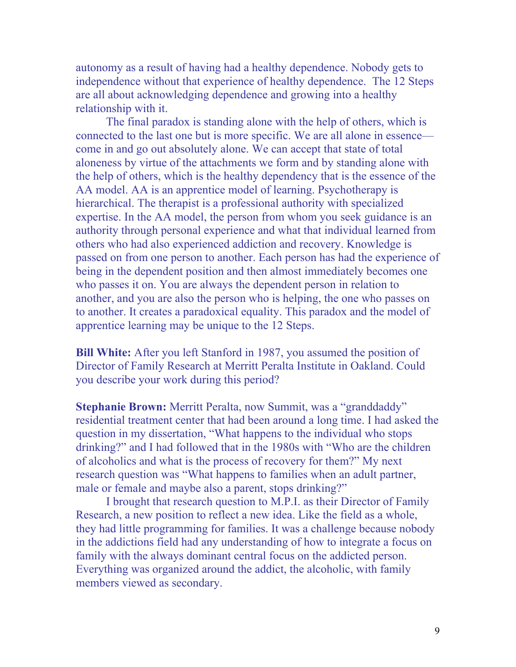autonomy as a result of having had a healthy dependence. Nobody gets to independence without that experience of healthy dependence. The 12 Steps are all about acknowledging dependence and growing into a healthy relationship with it.

 The final paradox is standing alone with the help of others, which is connected to the last one but is more specific. We are all alone in essence come in and go out absolutely alone. We can accept that state of total aloneness by virtue of the attachments we form and by standing alone with the help of others, which is the healthy dependency that is the essence of the AA model. AA is an apprentice model of learning. Psychotherapy is hierarchical. The therapist is a professional authority with specialized expertise. In the AA model, the person from whom you seek guidance is an authority through personal experience and what that individual learned from others who had also experienced addiction and recovery. Knowledge is passed on from one person to another. Each person has had the experience of being in the dependent position and then almost immediately becomes one who passes it on. You are always the dependent person in relation to another, and you are also the person who is helping, the one who passes on to another. It creates a paradoxical equality. This paradox and the model of apprentice learning may be unique to the 12 Steps.

**Bill White:** After you left Stanford in 1987, you assumed the position of Director of Family Research at Merritt Peralta Institute in Oakland. Could you describe your work during this period?

**Stephanie Brown:** Merritt Peralta, now Summit, was a "granddaddy" residential treatment center that had been around a long time. I had asked the question in my dissertation, "What happens to the individual who stops drinking?" and I had followed that in the 1980s with "Who are the children of alcoholics and what is the process of recovery for them?" My next research question was "What happens to families when an adult partner, male or female and maybe also a parent, stops drinking?"

 I brought that research question to M.P.I. as their Director of Family Research, a new position to reflect a new idea. Like the field as a whole, they had little programming for families. It was a challenge because nobody in the addictions field had any understanding of how to integrate a focus on family with the always dominant central focus on the addicted person. Everything was organized around the addict, the alcoholic, with family members viewed as secondary.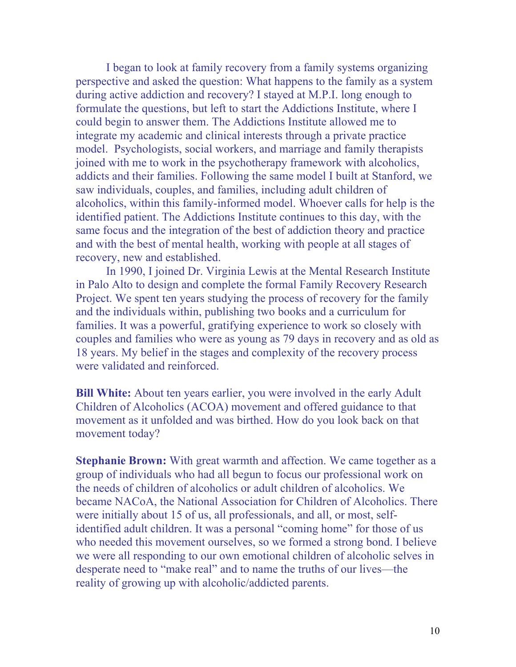I began to look at family recovery from a family systems organizing perspective and asked the question: What happens to the family as a system during active addiction and recovery? I stayed at M.P.I. long enough to formulate the questions, but left to start the Addictions Institute, where I could begin to answer them. The Addictions Institute allowed me to integrate my academic and clinical interests through a private practice model. Psychologists, social workers, and marriage and family therapists joined with me to work in the psychotherapy framework with alcoholics, addicts and their families. Following the same model I built at Stanford, we saw individuals, couples, and families, including adult children of alcoholics, within this family-informed model. Whoever calls for help is the identified patient. The Addictions Institute continues to this day, with the same focus and the integration of the best of addiction theory and practice and with the best of mental health, working with people at all stages of recovery, new and established.

 In 1990, I joined Dr. Virginia Lewis at the Mental Research Institute in Palo Alto to design and complete the formal Family Recovery Research Project. We spent ten years studying the process of recovery for the family and the individuals within, publishing two books and a curriculum for families. It was a powerful, gratifying experience to work so closely with couples and families who were as young as 79 days in recovery and as old as 18 years. My belief in the stages and complexity of the recovery process were validated and reinforced.

**Bill White:** About ten years earlier, you were involved in the early Adult Children of Alcoholics (ACOA) movement and offered guidance to that movement as it unfolded and was birthed. How do you look back on that movement today?

**Stephanie Brown:** With great warmth and affection. We came together as a group of individuals who had all begun to focus our professional work on the needs of children of alcoholics or adult children of alcoholics. We became NACoA, the National Association for Children of Alcoholics. There were initially about 15 of us, all professionals, and all, or most, selfidentified adult children. It was a personal "coming home" for those of us who needed this movement ourselves, so we formed a strong bond. I believe we were all responding to our own emotional children of alcoholic selves in desperate need to "make real" and to name the truths of our lives—the reality of growing up with alcoholic/addicted parents.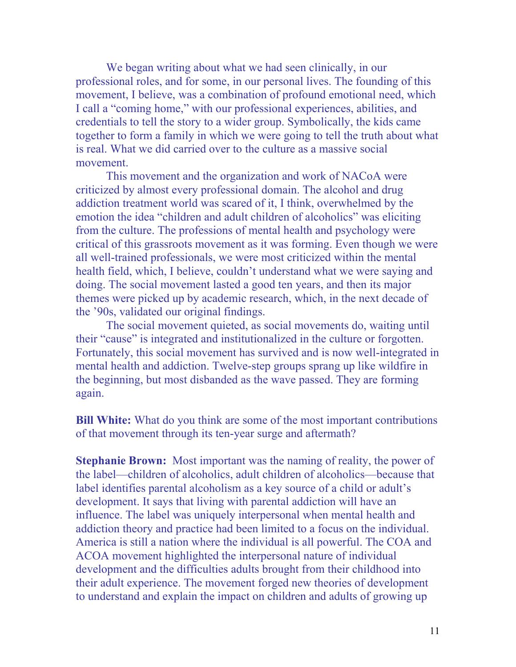We began writing about what we had seen clinically, in our professional roles, and for some, in our personal lives. The founding of this movement, I believe, was a combination of profound emotional need, which I call a "coming home," with our professional experiences, abilities, and credentials to tell the story to a wider group. Symbolically, the kids came together to form a family in which we were going to tell the truth about what is real. What we did carried over to the culture as a massive social movement.

 This movement and the organization and work of NACoA were criticized by almost every professional domain. The alcohol and drug addiction treatment world was scared of it, I think, overwhelmed by the emotion the idea "children and adult children of alcoholics" was eliciting from the culture. The professions of mental health and psychology were critical of this grassroots movement as it was forming. Even though we were all well-trained professionals, we were most criticized within the mental health field, which, I believe, couldn't understand what we were saying and doing. The social movement lasted a good ten years, and then its major themes were picked up by academic research, which, in the next decade of the '90s, validated our original findings.

 The social movement quieted, as social movements do, waiting until their "cause" is integrated and institutionalized in the culture or forgotten. Fortunately, this social movement has survived and is now well-integrated in mental health and addiction. Twelve-step groups sprang up like wildfire in the beginning, but most disbanded as the wave passed. They are forming again.

**Bill White:** What do you think are some of the most important contributions of that movement through its ten-year surge and aftermath?

**Stephanie Brown:** Most important was the naming of reality, the power of the label—children of alcoholics, adult children of alcoholics—because that label identifies parental alcoholism as a key source of a child or adult's development. It says that living with parental addiction will have an influence. The label was uniquely interpersonal when mental health and addiction theory and practice had been limited to a focus on the individual. America is still a nation where the individual is all powerful. The COA and ACOA movement highlighted the interpersonal nature of individual development and the difficulties adults brought from their childhood into their adult experience. The movement forged new theories of development to understand and explain the impact on children and adults of growing up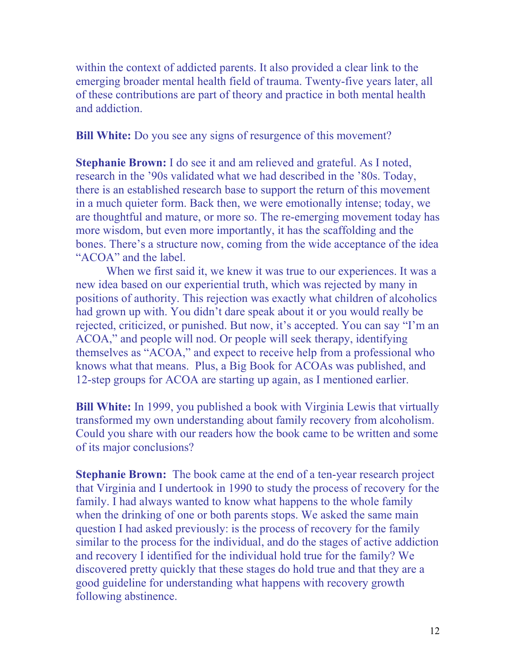within the context of addicted parents. It also provided a clear link to the emerging broader mental health field of trauma. Twenty-five years later, all of these contributions are part of theory and practice in both mental health and addiction.

**Bill White:** Do you see any signs of resurgence of this movement?

**Stephanie Brown:** I do see it and am relieved and grateful. As I noted, research in the '90s validated what we had described in the '80s. Today, there is an established research base to support the return of this movement in a much quieter form. Back then, we were emotionally intense; today, we are thoughtful and mature, or more so. The re-emerging movement today has more wisdom, but even more importantly, it has the scaffolding and the bones. There's a structure now, coming from the wide acceptance of the idea "ACOA" and the label.

 When we first said it, we knew it was true to our experiences. It was a new idea based on our experiential truth, which was rejected by many in positions of authority. This rejection was exactly what children of alcoholics had grown up with. You didn't dare speak about it or you would really be rejected, criticized, or punished. But now, it's accepted. You can say "I'm an ACOA," and people will nod. Or people will seek therapy, identifying themselves as "ACOA," and expect to receive help from a professional who knows what that means. Plus, a Big Book for ACOAs was published, and 12-step groups for ACOA are starting up again, as I mentioned earlier.

**Bill White:** In 1999, you published a book with Virginia Lewis that virtually transformed my own understanding about family recovery from alcoholism. Could you share with our readers how the book came to be written and some of its major conclusions?

**Stephanie Brown:** The book came at the end of a ten-year research project that Virginia and I undertook in 1990 to study the process of recovery for the family. I had always wanted to know what happens to the whole family when the drinking of one or both parents stops. We asked the same main question I had asked previously: is the process of recovery for the family similar to the process for the individual, and do the stages of active addiction and recovery I identified for the individual hold true for the family? We discovered pretty quickly that these stages do hold true and that they are a good guideline for understanding what happens with recovery growth following abstinence.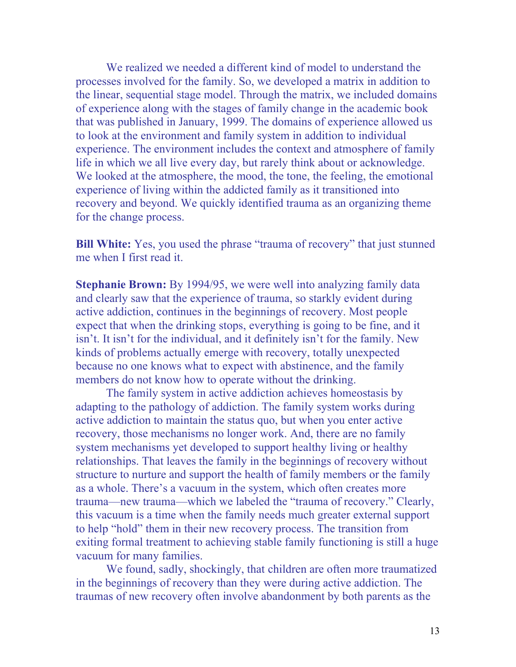We realized we needed a different kind of model to understand the processes involved for the family. So, we developed a matrix in addition to the linear, sequential stage model. Through the matrix, we included domains of experience along with the stages of family change in the academic book that was published in January, 1999. The domains of experience allowed us to look at the environment and family system in addition to individual experience. The environment includes the context and atmosphere of family life in which we all live every day, but rarely think about or acknowledge. We looked at the atmosphere, the mood, the tone, the feeling, the emotional experience of living within the addicted family as it transitioned into recovery and beyond. We quickly identified trauma as an organizing theme for the change process.

**Bill White:** Yes, you used the phrase "trauma of recovery" that just stunned me when I first read it.

**Stephanie Brown:** By 1994/95, we were well into analyzing family data and clearly saw that the experience of trauma, so starkly evident during active addiction, continues in the beginnings of recovery. Most people expect that when the drinking stops, everything is going to be fine, and it isn't. It isn't for the individual, and it definitely isn't for the family. New kinds of problems actually emerge with recovery, totally unexpected because no one knows what to expect with abstinence, and the family members do not know how to operate without the drinking.

 The family system in active addiction achieves homeostasis by adapting to the pathology of addiction. The family system works during active addiction to maintain the status quo, but when you enter active recovery, those mechanisms no longer work. And, there are no family system mechanisms yet developed to support healthy living or healthy relationships. That leaves the family in the beginnings of recovery without structure to nurture and support the health of family members or the family as a whole. There's a vacuum in the system, which often creates more trauma—new trauma—which we labeled the "trauma of recovery." Clearly, this vacuum is a time when the family needs much greater external support to help "hold" them in their new recovery process. The transition from exiting formal treatment to achieving stable family functioning is still a huge vacuum for many families.

 We found, sadly, shockingly, that children are often more traumatized in the beginnings of recovery than they were during active addiction. The traumas of new recovery often involve abandonment by both parents as the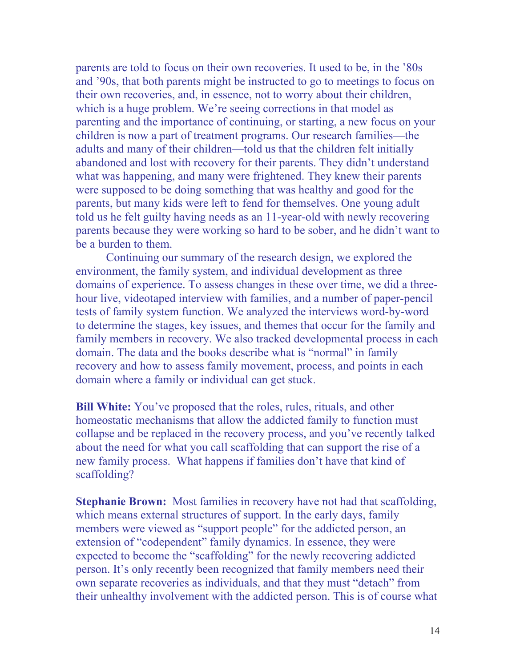parents are told to focus on their own recoveries. It used to be, in the '80s and '90s, that both parents might be instructed to go to meetings to focus on their own recoveries, and, in essence, not to worry about their children, which is a huge problem. We're seeing corrections in that model as parenting and the importance of continuing, or starting, a new focus on your children is now a part of treatment programs. Our research families—the adults and many of their children—told us that the children felt initially abandoned and lost with recovery for their parents. They didn't understand what was happening, and many were frightened. They knew their parents were supposed to be doing something that was healthy and good for the parents, but many kids were left to fend for themselves. One young adult told us he felt guilty having needs as an 11-year-old with newly recovering parents because they were working so hard to be sober, and he didn't want to be a burden to them.

 Continuing our summary of the research design, we explored the environment, the family system, and individual development as three domains of experience. To assess changes in these over time, we did a threehour live, videotaped interview with families, and a number of paper-pencil tests of family system function. We analyzed the interviews word-by-word to determine the stages, key issues, and themes that occur for the family and family members in recovery. We also tracked developmental process in each domain. The data and the books describe what is "normal" in family recovery and how to assess family movement, process, and points in each domain where a family or individual can get stuck.

**Bill White:** You've proposed that the roles, rules, rituals, and other homeostatic mechanisms that allow the addicted family to function must collapse and be replaced in the recovery process, and you've recently talked about the need for what you call scaffolding that can support the rise of a new family process. What happens if families don't have that kind of scaffolding?

**Stephanie Brown:** Most families in recovery have not had that scaffolding, which means external structures of support. In the early days, family members were viewed as "support people" for the addicted person, an extension of "codependent" family dynamics. In essence, they were expected to become the "scaffolding" for the newly recovering addicted person. It's only recently been recognized that family members need their own separate recoveries as individuals, and that they must "detach" from their unhealthy involvement with the addicted person. This is of course what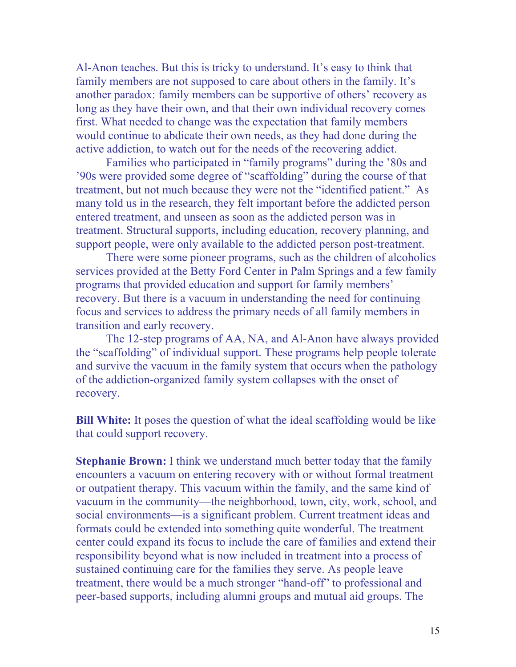Al-Anon teaches. But this is tricky to understand. It's easy to think that family members are not supposed to care about others in the family. It's another paradox: family members can be supportive of others' recovery as long as they have their own, and that their own individual recovery comes first. What needed to change was the expectation that family members would continue to abdicate their own needs, as they had done during the active addiction, to watch out for the needs of the recovering addict.

 Families who participated in "family programs" during the '80s and '90s were provided some degree of "scaffolding" during the course of that treatment, but not much because they were not the "identified patient." As many told us in the research, they felt important before the addicted person entered treatment, and unseen as soon as the addicted person was in treatment. Structural supports, including education, recovery planning, and support people, were only available to the addicted person post-treatment.

 There were some pioneer programs, such as the children of alcoholics services provided at the Betty Ford Center in Palm Springs and a few family programs that provided education and support for family members' recovery. But there is a vacuum in understanding the need for continuing focus and services to address the primary needs of all family members in transition and early recovery.

 The 12-step programs of AA, NA, and Al-Anon have always provided the "scaffolding" of individual support. These programs help people tolerate and survive the vacuum in the family system that occurs when the pathology of the addiction-organized family system collapses with the onset of recovery.

**Bill White:** It poses the question of what the ideal scaffolding would be like that could support recovery.

**Stephanie Brown:** I think we understand much better today that the family encounters a vacuum on entering recovery with or without formal treatment or outpatient therapy. This vacuum within the family, and the same kind of vacuum in the community—the neighborhood, town, city, work, school, and social environments—is a significant problem. Current treatment ideas and formats could be extended into something quite wonderful. The treatment center could expand its focus to include the care of families and extend their responsibility beyond what is now included in treatment into a process of sustained continuing care for the families they serve. As people leave treatment, there would be a much stronger "hand-off" to professional and peer-based supports, including alumni groups and mutual aid groups. The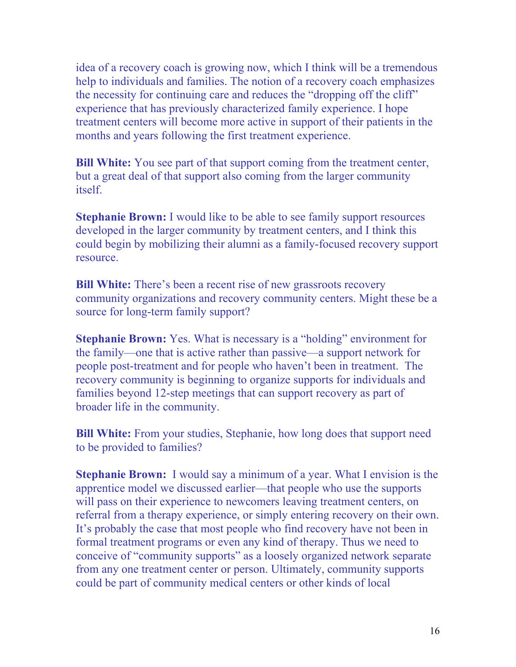idea of a recovery coach is growing now, which I think will be a tremendous help to individuals and families. The notion of a recovery coach emphasizes the necessity for continuing care and reduces the "dropping off the cliff" experience that has previously characterized family experience. I hope treatment centers will become more active in support of their patients in the months and years following the first treatment experience.

**Bill White:** You see part of that support coming from the treatment center, but a great deal of that support also coming from the larger community itself.

**Stephanie Brown:** I would like to be able to see family support resources developed in the larger community by treatment centers, and I think this could begin by mobilizing their alumni as a family-focused recovery support resource.

**Bill White:** There's been a recent rise of new grassroots recovery community organizations and recovery community centers. Might these be a source for long-term family support?

**Stephanie Brown:** Yes. What is necessary is a "holding" environment for the family—one that is active rather than passive—a support network for people post-treatment and for people who haven't been in treatment. The recovery community is beginning to organize supports for individuals and families beyond 12-step meetings that can support recovery as part of broader life in the community.

**Bill White:** From your studies, Stephanie, how long does that support need to be provided to families?

**Stephanie Brown:** I would say a minimum of a year. What I envision is the apprentice model we discussed earlier—that people who use the supports will pass on their experience to new comers leaving treatment centers, on referral from a therapy experience, or simply entering recovery on their own. It's probably the case that most people who find recovery have not been in formal treatment programs or even any kind of therapy. Thus we need to conceive of "community supports" as a loosely organized network separate from any one treatment center or person. Ultimately, community supports could be part of community medical centers or other kinds of local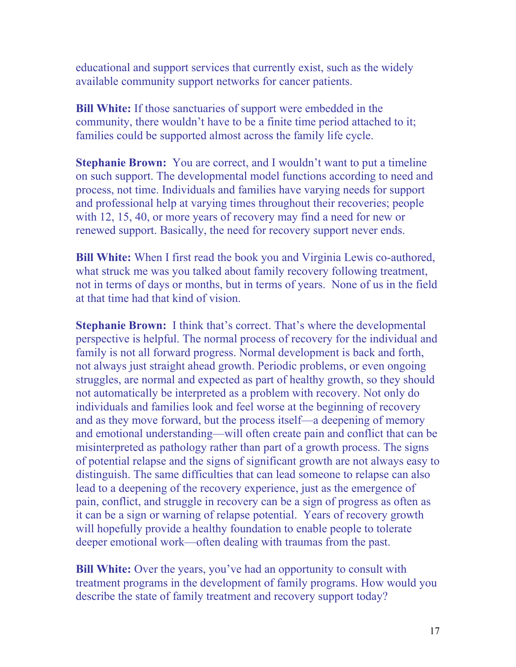educational and support services that currently exist, such as the widely available community support networks for cancer patients.

**Bill White:** If those sanctuaries of support were embedded in the community, there wouldn't have to be a finite time period attached to it; families could be supported almost across the family life cycle.

**Stephanie Brown:** You are correct, and I wouldn't want to put a timeline on such support. The developmental model functions according to need and process, not time. Individuals and families have varying needs for support and professional help at varying times throughout their recoveries; people with 12, 15, 40, or more years of recovery may find a need for new or renewed support. Basically, the need for recovery support never ends.

**Bill White:** When I first read the book you and Virginia Lewis co-authored, what struck me was you talked about family recovery following treatment, not in terms of days or months, but in terms of years. None of us in the field at that time had that kind of vision.

**Stephanie Brown:** I think that's correct. That's where the developmental perspective is helpful. The normal process of recovery for the individual and family is not all forward progress. Normal development is back and forth, not always just straight ahead growth. Periodic problems, or even ongoing struggles, are normal and expected as part of healthy growth, so they should not automatically be interpreted as a problem with recovery. Not only do individuals and families look and feel worse at the beginning of recovery and as they move forward, but the process itself—a deepening of memory and emotional understanding—will often create pain and conflict that can be misinterpreted as pathology rather than part of a growth process. The signs of potential relapse and the signs of significant growth are not always easy to distinguish. The same difficulties that can lead someone to relapse can also lead to a deepening of the recovery experience, just as the emergence of pain, conflict, and struggle in recovery can be a sign of progress as often as it can be a sign or warning of relapse potential. Years of recovery growth will hopefully provide a healthy foundation to enable people to tolerate deeper emotional work—often dealing with traumas from the past.

**Bill White:** Over the years, you've had an opportunity to consult with treatment programs in the development of family programs. How would you describe the state of family treatment and recovery support today?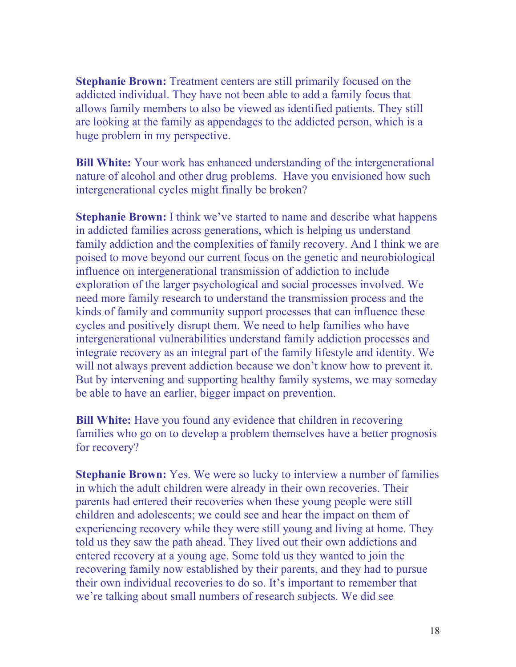**Stephanie Brown:** Treatment centers are still primarily focused on the addicted individual. They have not been able to add a family focus that allows family members to also be viewed as identified patients. They still are looking at the family as appendages to the addicted person, which is a huge problem in my perspective.

**Bill White:** Your work has enhanced understanding of the intergenerational nature of alcohol and other drug problems. Have you envisioned how such intergenerational cycles might finally be broken?

**Stephanie Brown:** I think we've started to name and describe what happens in addicted families across generations, which is helping us understand family addiction and the complexities of family recovery. And I think we are poised to move beyond our current focus on the genetic and neurobiological influence on intergenerational transmission of addiction to include exploration of the larger psychological and social processes involved. We need more family research to understand the transmission process and the kinds of family and community support processes that can influence these cycles and positively disrupt them. We need to help families who have intergenerational vulnerabilities understand family addiction processes and integrate recovery as an integral part of the family lifestyle and identity. We will not always prevent addiction because we don't know how to prevent it. But by intervening and supporting healthy family systems, we may someday be able to have an earlier, bigger impact on prevention.

**Bill White:** Have you found any evidence that children in recovering families who go on to develop a problem themselves have a better prognosis for recovery?

**Stephanie Brown:** Yes. We were so lucky to interview a number of families in which the adult children were already in their own recoveries. Their parents had entered their recoveries when these young people were still children and adolescents; we could see and hear the impact on them of experiencing recovery while they were still young and living at home. They told us they saw the path ahead. They lived out their own addictions and entered recovery at a young age. Some told us they wanted to join the recovering family now established by their parents, and they had to pursue their own individual recoveries to do so. It's important to remember that we're talking about small numbers of research subjects. We did see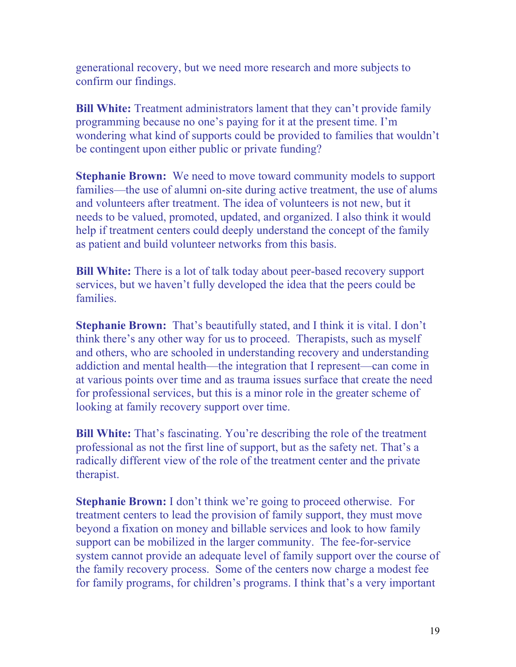generational recovery, but we need more research and more subjects to confirm our findings.

**Bill White:** Treatment administrators lament that they can't provide family programming because no one's paying for it at the present time. I'm wondering what kind of supports could be provided to families that wouldn't be contingent upon either public or private funding?

**Stephanie Brown:** We need to move toward community models to support families—the use of alumni on-site during active treatment, the use of alums and volunteers after treatment. The idea of volunteers is not new, but it needs to be valued, promoted, updated, and organized. I also think it would help if treatment centers could deeply understand the concept of the family as patient and build volunteer networks from this basis.

**Bill White:** There is a lot of talk today about peer-based recovery support services, but we haven't fully developed the idea that the peers could be families.

**Stephanie Brown:** That's beautifully stated, and I think it is vital. I don't think there's any other way for us to proceed. Therapists, such as myself and others, who are schooled in understanding recovery and understanding addiction and mental health—the integration that I represent—can come in at various points over time and as trauma issues surface that create the need for professional services, but this is a minor role in the greater scheme of looking at family recovery support over time.

**Bill White:** That's fascinating. You're describing the role of the treatment professional as not the first line of support, but as the safety net. That's a radically different view of the role of the treatment center and the private therapist.

**Stephanie Brown:** I don't think we're going to proceed otherwise. For treatment centers to lead the provision of family support, they must move beyond a fixation on money and billable services and look to how family support can be mobilized in the larger community. The fee-for-service system cannot provide an adequate level of family support over the course of the family recovery process. Some of the centers now charge a modest fee for family programs, for children's programs. I think that's a very important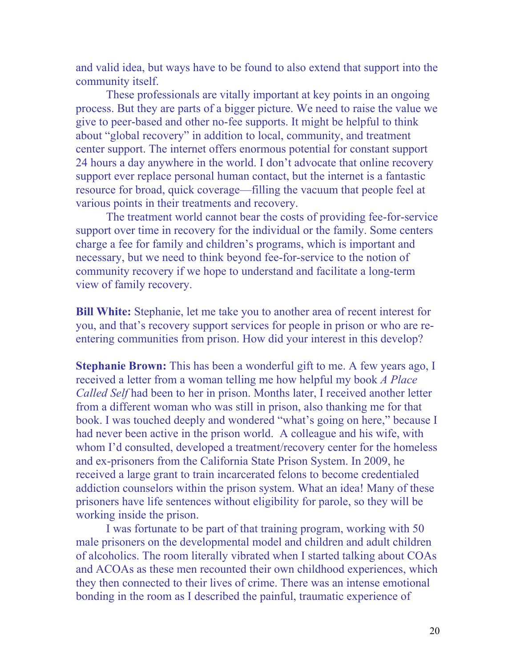and valid idea, but ways have to be found to also extend that support into the community itself.

 These professionals are vitally important at key points in an ongoing process. But they are parts of a bigger picture. We need to raise the value we give to peer-based and other no-fee supports. It might be helpful to think about "global recovery" in addition to local, community, and treatment center support. The internet offers enormous potential for constant support 24 hours a day anywhere in the world. I don't advocate that online recovery support ever replace personal human contact, but the internet is a fantastic resource for broad, quick coverage—filling the vacuum that people feel at various points in their treatments and recovery.

 The treatment world cannot bear the costs of providing fee-for-service support over time in recovery for the individual or the family. Some centers charge a fee for family and children's programs, which is important and necessary, but we need to think beyond fee-for-service to the notion of community recovery if we hope to understand and facilitate a long-term view of family recovery.

**Bill White:** Stephanie, let me take you to another area of recent interest for you, and that's recovery support services for people in prison or who are reentering communities from prison. How did your interest in this develop?

**Stephanie Brown:** This has been a wonderful gift to me. A few years ago, I received a letter from a woman telling me how helpful my book *A Place Called Self* had been to her in prison. Months later, I received another letter from a different woman who was still in prison, also thanking me for that book. I was touched deeply and wondered "what's going on here," because I had never been active in the prison world. A colleague and his wife, with whom I'd consulted, developed a treatment/recovery center for the homeless and ex-prisoners from the California State Prison System. In 2009, he received a large grant to train incarcerated felons to become credentialed addiction counselors within the prison system. What an idea! Many of these prisoners have life sentences without eligibility for parole, so they will be working inside the prison.

 I was fortunate to be part of that training program, working with 50 male prisoners on the developmental model and children and adult children of alcoholics. The room literally vibrated when I started talking about COAs and ACOAs as these men recounted their own childhood experiences, which they then connected to their lives of crime. There was an intense emotional bonding in the room as I described the painful, traumatic experience of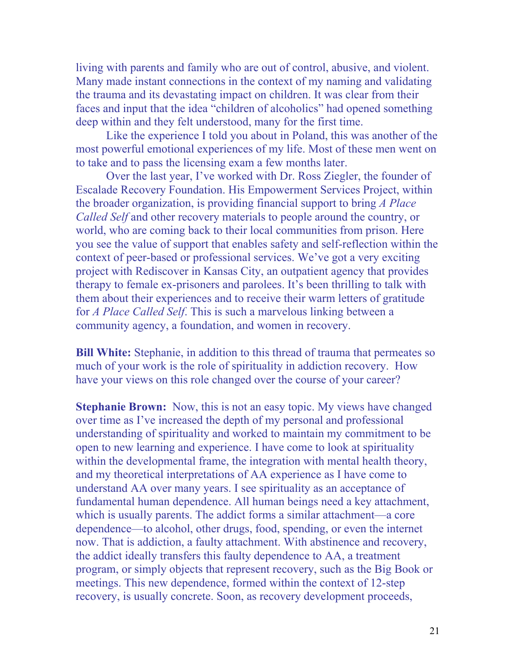living with parents and family who are out of control, abusive, and violent. Many made instant connections in the context of my naming and validating the trauma and its devastating impact on children. It was clear from their faces and input that the idea "children of alcoholics" had opened something deep within and they felt understood, many for the first time.

 Like the experience I told you about in Poland, this was another of the most powerful emotional experiences of my life. Most of these men went on to take and to pass the licensing exam a few months later.

 Over the last year, I've worked with Dr. Ross Ziegler, the founder of Escalade Recovery Foundation. His Empowerment Services Project, within the broader organization, is providing financial support to bring *A Place Called Self* and other recovery materials to people around the country, or world, who are coming back to their local communities from prison. Here you see the value of support that enables safety and self-reflection within the context of peer-based or professional services. We've got a very exciting project with Rediscover in Kansas City, an outpatient agency that provides therapy to female ex-prisoners and parolees. It's been thrilling to talk with them about their experiences and to receive their warm letters of gratitude for *A Place Called Self*. This is such a marvelous linking between a community agency, a foundation, and women in recovery.

**Bill White:** Stephanie, in addition to this thread of trauma that permeates so much of your work is the role of spirituality in addiction recovery. How have your views on this role changed over the course of your career?

**Stephanie Brown:** Now, this is not an easy topic. My views have changed over time as I've increased the depth of my personal and professional understanding of spirituality and worked to maintain my commitment to be open to new learning and experience. I have come to look at spirituality within the developmental frame, the integration with mental health theory, and my theoretical interpretations of AA experience as I have come to understand AA over many years. I see spirituality as an acceptance of fundamental human dependence. All human beings need a key attachment, which is usually parents. The addict forms a similar attachment—a core dependence—to alcohol, other drugs, food, spending, or even the internet now. That is addiction, a faulty attachment. With abstinence and recovery, the addict ideally transfers this faulty dependence to AA, a treatment program, or simply objects that represent recovery, such as the Big Book or meetings. This new dependence, formed within the context of 12-step recovery, is usually concrete. Soon, as recovery development proceeds,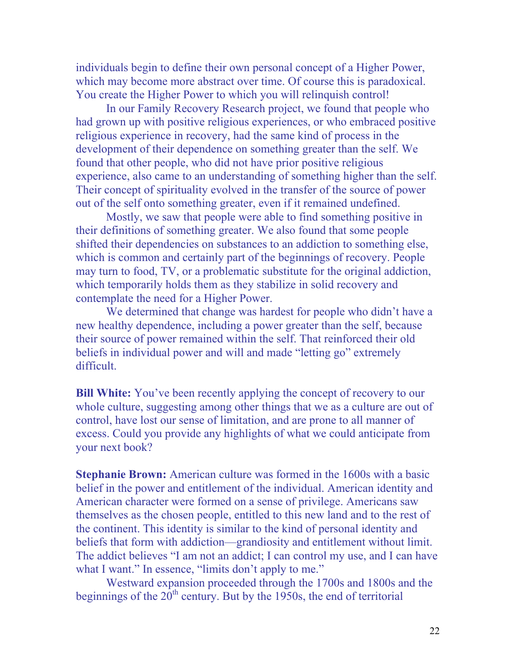individuals begin to define their own personal concept of a Higher Power, which may become more abstract over time. Of course this is paradoxical. You create the Higher Power to which you will relinquish control!

 In our Family Recovery Research project, we found that people who had grown up with positive religious experiences, or who embraced positive religious experience in recovery, had the same kind of process in the development of their dependence on something greater than the self. We found that other people, who did not have prior positive religious experience, also came to an understanding of something higher than the self. Their concept of spirituality evolved in the transfer of the source of power out of the self onto something greater, even if it remained undefined.

 Mostly, we saw that people were able to find something positive in their definitions of something greater. We also found that some people shifted their dependencies on substances to an addiction to something else, which is common and certainly part of the beginnings of recovery. People may turn to food, TV, or a problematic substitute for the original addiction, which temporarily holds them as they stabilize in solid recovery and contemplate the need for a Higher Power.

 We determined that change was hardest for people who didn't have a new healthy dependence, including a power greater than the self, because their source of power remained within the self. That reinforced their old beliefs in individual power and will and made "letting go" extremely difficult.

**Bill White:** You've been recently applying the concept of recovery to our whole culture, suggesting among other things that we as a culture are out of control, have lost our sense of limitation, and are prone to all manner of excess. Could you provide any highlights of what we could anticipate from your next book?

**Stephanie Brown:** American culture was formed in the 1600s with a basic belief in the power and entitlement of the individual. American identity and American character were formed on a sense of privilege. Americans saw themselves as the chosen people, entitled to this new land and to the rest of the continent. This identity is similar to the kind of personal identity and beliefs that form with addiction—grandiosity and entitlement without limit. The addict believes "I am not an addict; I can control my use, and I can have what I want." In essence, "limits don't apply to me."

 Westward expansion proceeded through the 1700s and 1800s and the beginnings of the  $20^{th}$  century. But by the 1950s, the end of territorial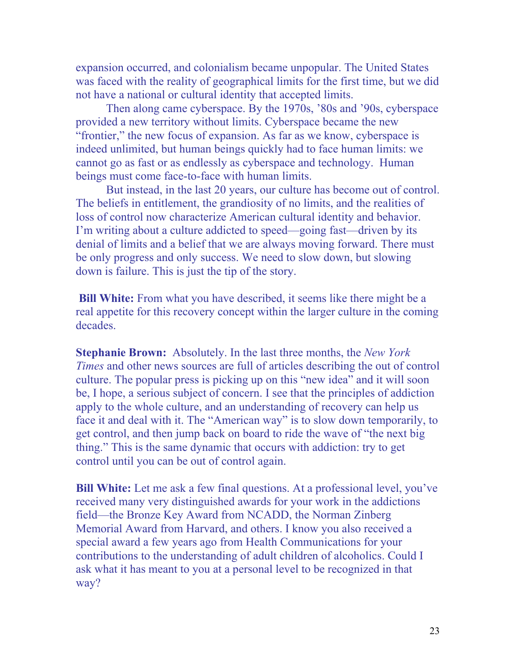expansion occurred, and colonialism became unpopular. The United States was faced with the reality of geographical limits for the first time, but we did not have a national or cultural identity that accepted limits.

 Then along came cyberspace. By the 1970s, '80s and '90s, cyberspace provided a new territory without limits. Cyberspace became the new "frontier," the new focus of expansion. As far as we know, cyberspace is indeed unlimited, but human beings quickly had to face human limits: we cannot go as fast or as endlessly as cyberspace and technology. Human beings must come face-to-face with human limits.

 But instead, in the last 20 years, our culture has become out of control. The beliefs in entitlement, the grandiosity of no limits, and the realities of loss of control now characterize American cultural identity and behavior. I'm writing about a culture addicted to speed—going fast—driven by its denial of limits and a belief that we are always moving forward. There must be only progress and only success. We need to slow down, but slowing down is failure. This is just the tip of the story.

**Bill White:** From what you have described, it seems like there might be a real appetite for this recovery concept within the larger culture in the coming decades.

**Stephanie Brown:** Absolutely. In the last three months, the *New York Times* and other news sources are full of articles describing the out of control culture. The popular press is picking up on this "new idea" and it will soon be, I hope, a serious subject of concern. I see that the principles of addiction apply to the whole culture, and an understanding of recovery can help us face it and deal with it. The "American way" is to slow down temporarily, to get control, and then jump back on board to ride the wave of "the next big thing." This is the same dynamic that occurs with addiction: try to get control until you can be out of control again.

**Bill White:** Let me ask a few final questions. At a professional level, you've received many very distinguished awards for your work in the addictions field—the Bronze Key Award from NCADD, the Norman Zinberg Memorial Award from Harvard, and others. I know you also received a special award a few years ago from Health Communications for your contributions to the understanding of adult children of alcoholics. Could I ask what it has meant to you at a personal level to be recognized in that way?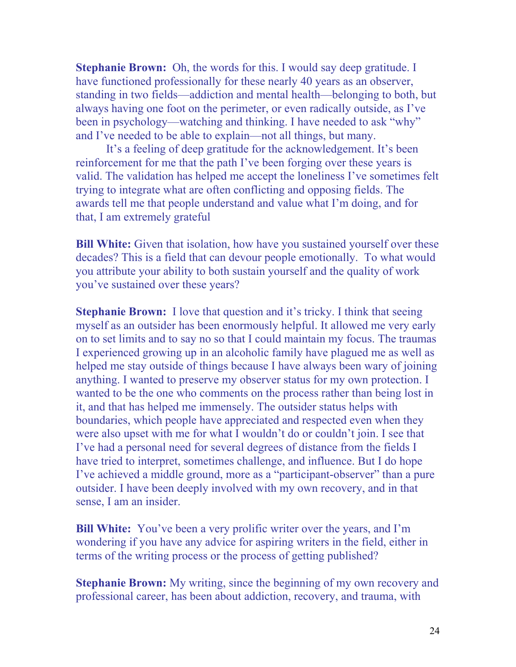**Stephanie Brown:** Oh, the words for this. I would say deep gratitude. I have functioned professionally for these nearly 40 years as an observer, standing in two fields—addiction and mental health—belonging to both, but always having one foot on the perimeter, or even radically outside, as I've been in psychology—watching and thinking. I have needed to ask "why" and I've needed to be able to explain—not all things, but many.

 It's a feeling of deep gratitude for the acknowledgement. It's been reinforcement for me that the path I've been forging over these years is valid. The validation has helped me accept the loneliness I've sometimes felt trying to integrate what are often conflicting and opposing fields. The awards tell me that people understand and value what I'm doing, and for that, I am extremely grateful

**Bill White:** Given that isolation, how have you sustained yourself over these decades? This is a field that can devour people emotionally. To what would you attribute your ability to both sustain yourself and the quality of work you've sustained over these years?

**Stephanie Brown:** I love that question and it's tricky. I think that seeing myself as an outsider has been enormously helpful. It allowed me very early on to set limits and to say no so that I could maintain my focus. The traumas I experienced growing up in an alcoholic family have plagued me as well as helped me stay outside of things because I have always been wary of joining anything. I wanted to preserve my observer status for my own protection. I wanted to be the one who comments on the process rather than being lost in it, and that has helped me immensely. The outsider status helps with boundaries, which people have appreciated and respected even when they were also upset with me for what I wouldn't do or couldn't join. I see that I've had a personal need for several degrees of distance from the fields I have tried to interpret, sometimes challenge, and influence. But I do hope I've achieved a middle ground, more as a "participant-observer" than a pure outsider. I have been deeply involved with my own recovery, and in that sense, I am an insider.

**Bill White:** You've been a very prolific writer over the years, and I'm wondering if you have any advice for aspiring writers in the field, either in terms of the writing process or the process of getting published?

**Stephanie Brown:** My writing, since the beginning of my own recovery and professional career, has been about addiction, recovery, and trauma, with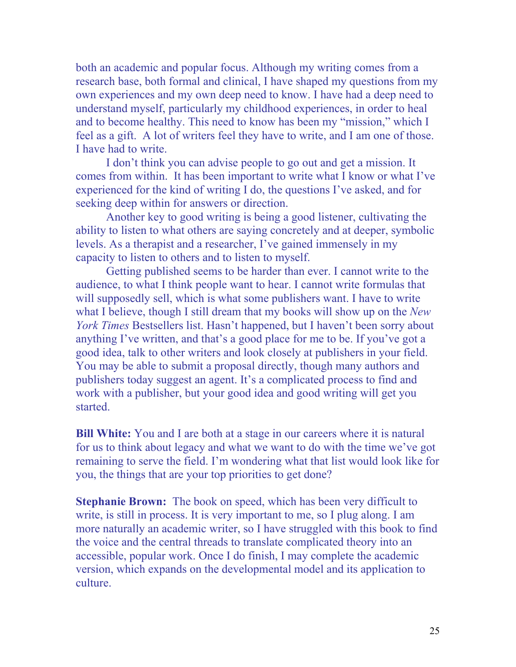both an academic and popular focus. Although my writing comes from a research base, both formal and clinical, I have shaped my questions from my own experiences and my own deep need to know. I have had a deep need to understand myself, particularly my childhood experiences, in order to heal and to become healthy. This need to know has been my "mission," which I feel as a gift. A lot of writers feel they have to write, and I am one of those. I have had to write.

 I don't think you can advise people to go out and get a mission. It comes from within. It has been important to write what I know or what I've experienced for the kind of writing I do, the questions I've asked, and for seeking deep within for answers or direction.

 Another key to good writing is being a good listener, cultivating the ability to listen to what others are saying concretely and at deeper, symbolic levels. As a therapist and a researcher, I've gained immensely in my capacity to listen to others and to listen to myself.

 Getting published seems to be harder than ever. I cannot write to the audience, to what I think people want to hear. I cannot write formulas that will supposedly sell, which is what some publishers want. I have to write what I believe, though I still dream that my books will show up on the *New York Times* Bestsellers list. Hasn't happened, but I haven't been sorry about anything I've written, and that's a good place for me to be. If you've got a good idea, talk to other writers and look closely at publishers in your field. You may be able to submit a proposal directly, though many authors and publishers today suggest an agent. It's a complicated process to find and work with a publisher, but your good idea and good writing will get you started.

**Bill White:** You and I are both at a stage in our careers where it is natural for us to think about legacy and what we want to do with the time we've got remaining to serve the field. I'm wondering what that list would look like for you, the things that are your top priorities to get done?

**Stephanie Brown:** The book on speed, which has been very difficult to write, is still in process. It is very important to me, so I plug along. I am more naturally an academic writer, so I have struggled with this book to find the voice and the central threads to translate complicated theory into an accessible, popular work. Once I do finish, I may complete the academic version, which expands on the developmental model and its application to culture.